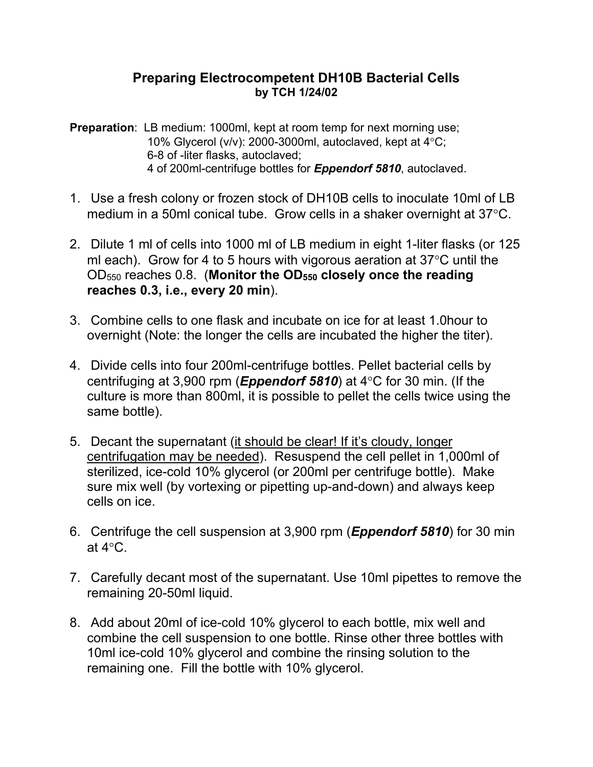## **Preparing Electrocompetent DH10B Bacterial Cells by TCH 1/24/02**

**Preparation:** LB medium: 1000ml, kept at room temp for next morning use; 10% Glycerol (v/v): 2000-3000ml, autoclaved, kept at  $4^{\circ}$ C; 6-8 of -liter flasks, autoclaved; 4 of 200ml-centrifuge bottles for *Eppendorf 5810*, autoclaved.

- 1. Use a fresh colony or frozen stock of DH10B cells to inoculate 10ml of LB medium in a 50ml conical tube. Grow cells in a shaker overnight at  $37^{\circ}$ C.
- 2. Dilute 1 ml of cells into 1000 ml of LB medium in eight 1-liter flasks (or 125 ml each). Grow for 4 to 5 hours with vigorous aeration at  $37^{\circ}$ C until the OD550 reaches 0.8. (**Monitor the OD550 closely once the reading reaches 0.3, i.e., every 20 min**).
- 3. Combine cells to one flask and incubate on ice for at least 1.0hour to overnight (Note: the longer the cells are incubated the higher the titer).
- 4. Divide cells into four 200ml-centrifuge bottles. Pellet bacterial cells by centrifuging at 3,900 rpm (**Eppendorf 5810**) at 4°C for 30 min. (If the culture is more than 800ml, it is possible to pellet the cells twice using the same bottle).
- 5. Decant the supernatant (it should be clear! If it's cloudy, longer centrifugation may be needed). Resuspend the cell pellet in 1,000ml of sterilized, ice-cold 10% glycerol (or 200ml per centrifuge bottle). Make sure mix well (by vortexing or pipetting up-and-down) and always keep cells on ice.
- 6. Centrifuge the cell suspension at 3,900 rpm (*Eppendorf 5810*) for 30 min at  $4^{\circ}$ C.
- 7. Carefully decant most of the supernatant. Use 10ml pipettes to remove the remaining 20-50ml liquid.
- 8. Add about 20ml of ice-cold 10% glycerol to each bottle, mix well and combine the cell suspension to one bottle. Rinse other three bottles with 10ml ice-cold 10% glycerol and combine the rinsing solution to the remaining one. Fill the bottle with 10% glycerol.